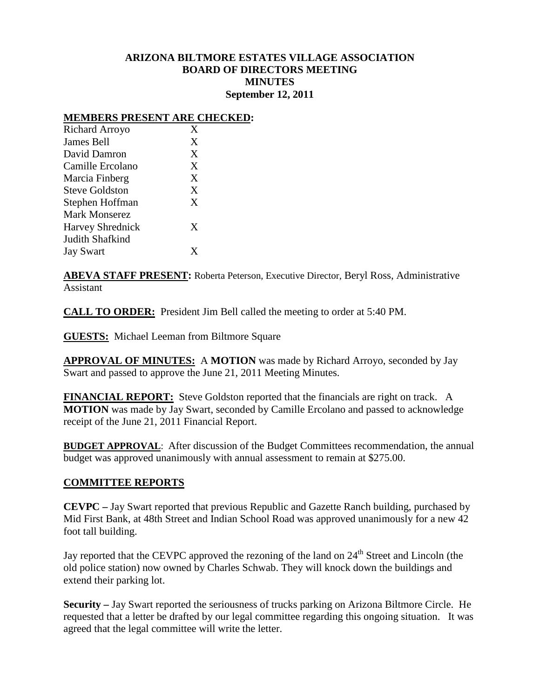## **ARIZONA BILTMORE ESTATES VILLAGE ASSOCIATION BOARD OF DIRECTORS MEETING MINUTES September 12, 2011**

## **MEMBERS PRESENT ARE CHECKED:**

| X |
|---|
| X |
| X |
| X |
| X |
| X |
| X |
|   |
| X |
|   |
|   |
|   |

**ABEVA STAFF PRESENT:** Roberta Peterson, Executive Director, Beryl Ross, Administrative Assistant

**CALL TO ORDER:** President Jim Bell called the meeting to order at 5:40 PM.

**GUESTS:** Michael Leeman from Biltmore Square

**APPROVAL OF MINUTES:** A **MOTION** was made by Richard Arroyo, seconded by Jay Swart and passed to approve the June 21, 2011 Meeting Minutes.

**FINANCIAL REPORT:** Steve Goldston reported that the financials are right on track. A **MOTION** was made by Jay Swart, seconded by Camille Ercolano and passed to acknowledge receipt of the June 21, 2011 Financial Report.

**BUDGET APPROVAL**: After discussion of the Budget Committees recommendation, the annual budget was approved unanimously with annual assessment to remain at \$275.00.

## **COMMITTEE REPORTS**

**CEVPC –** Jay Swart reported that previous Republic and Gazette Ranch building, purchased by Mid First Bank, at 48th Street and Indian School Road was approved unanimously for a new 42 foot tall building.

Jay reported that the CEVPC approved the rezoning of the land on  $24<sup>th</sup>$  Street and Lincoln (the old police station) now owned by Charles Schwab. They will knock down the buildings and extend their parking lot.

**Security –** Jay Swart reported the seriousness of trucks parking on Arizona Biltmore Circle. He requested that a letter be drafted by our legal committee regarding this ongoing situation. It was agreed that the legal committee will write the letter.